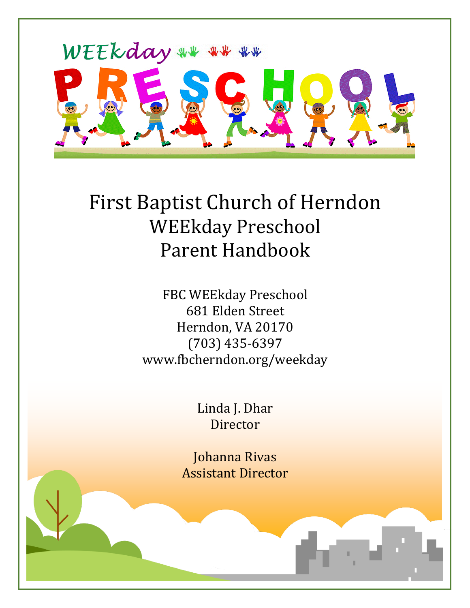

# First Baptist Church of Herndon WEEkday Preschool Parent Handbook

FBC WEEkday Preschool 681 Elden Street Herndon, VA 20170 (703) 435-6397 www.fbcherndon.org/weekday

> Linda J. Dhar Director

Johanna Rivas Assistant Director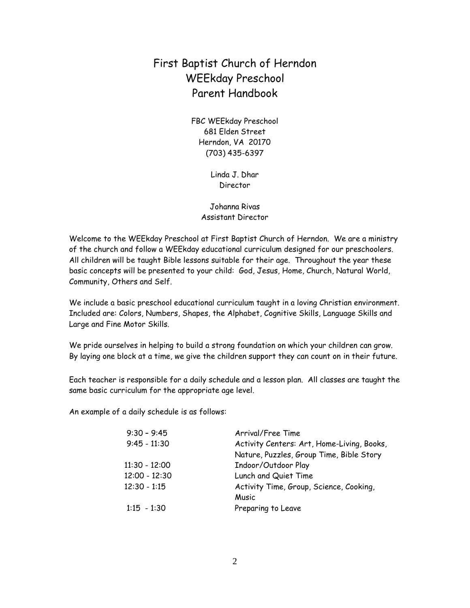# First Baptist Church of Herndon WEEkday Preschool Parent Handbook

FBC WEEkday Preschool 681 Elden Street Herndon, VA 20170 (703) 435-6397

> Linda J. Dhar Director

Johanna Rivas Assistant Director

Welcome to the WEEkday Preschool at First Baptist Church of Herndon. We are a ministry of the church and follow a WEEkday educational curriculum designed for our preschoolers. All children will be taught Bible lessons suitable for their age. Throughout the year these basic concepts will be presented to your child: God, Jesus, Home, Church, Natural World, Community, Others and Self.

We include a basic preschool educational curriculum taught in a loving Christian environment. Included are: Colors, Numbers, Shapes, the Alphabet, Cognitive Skills, Language Skills and Large and Fine Motor Skills.

We pride ourselves in helping to build a strong foundation on which your children can grow. By laying one block at a time, we give the children support they can count on in their future.

Each teacher is responsible for a daily schedule and a lesson plan. All classes are taught the same basic curriculum for the appropriate age level.

An example of a daily schedule is as follows:

| $9:30 - 9:45$   | Arrival/Free Time                          |  |
|-----------------|--------------------------------------------|--|
| $9:45 - 11:30$  | Activity Centers: Art, Home-Living, Books, |  |
|                 | Nature, Puzzles, Group Time, Bible Story   |  |
| $11:30 - 12:00$ | Indoor/Outdoor Play                        |  |
| $12:00 - 12:30$ | Lunch and Quiet Time                       |  |
| $12:30 - 1:15$  | Activity Time, Group, Science, Cooking,    |  |
|                 | Music                                      |  |
| $1:15 - 1:30$   | Preparing to Leave                         |  |
|                 |                                            |  |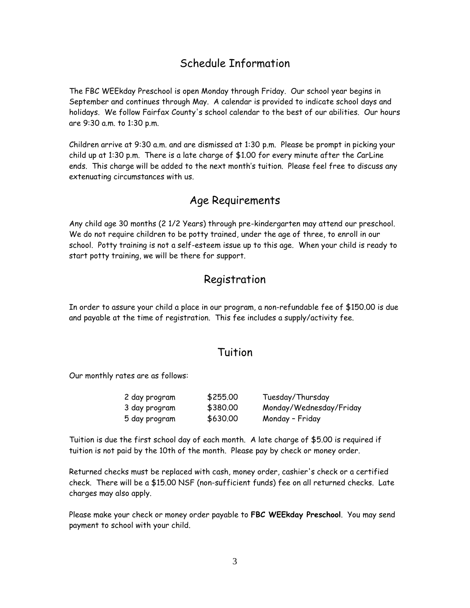## Schedule Information

The FBC WEEkday Preschool is open Monday through Friday. Our school year begins in September and continues through May. A calendar is provided to indicate school days and holidays. We follow Fairfax County's school calendar to the best of our abilities. Our hours are 9:30 a.m. to 1:30 p.m.

Children arrive at 9:30 a.m. and are dismissed at 1:30 p.m. Please be prompt in picking your child up at 1:30 p.m. There is a late charge of \$1.00 for every minute after the CarLine ends. This charge will be added to the next month's tuition. Please feel free to discuss any extenuating circumstances with us.

#### Age Requirements

Any child age 30 months (2 1/2 Years) through pre-kindergarten may attend our preschool. We do not require children to be potty trained, under the age of three, to enroll in our school. Potty training is not a self-esteem issue up to this age. When your child is ready to start potty training, we will be there for support.

## Registration

In order to assure your child a place in our program, a non-refundable fee of \$150.00 is due and payable at the time of registration. This fee includes a supply/activity fee.

#### Tuition

Our monthly rates are as follows:

| 2 day program | \$255.00 | Tuesday/Thursday        |
|---------------|----------|-------------------------|
| 3 day program | \$380.00 | Monday/Wednesday/Friday |
| 5 day program | \$630.00 | Monday - Friday         |

Tuition is due the first school day of each month. A late charge of \$5.00 is required if tuition is not paid by the 10th of the month. Please pay by check or money order.

Returned checks must be replaced with cash, money order, cashier's check or a certified check. There will be a \$15.00 NSF (non-sufficient funds) fee on all returned checks. Late charges may also apply.

Please make your check or money order payable to **FBC WEEkday Preschool**. You may send payment to school with your child.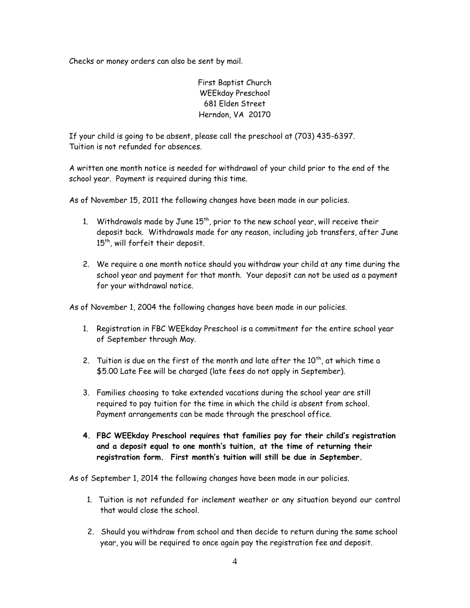Checks or money orders can also be sent by mail.

First Baptist Church WEEkday Preschool 681 Elden Street Herndon, VA 20170

If your child is going to be absent, please call the preschool at (703) 435-6397. Tuition is not refunded for absences.

A written one month notice is needed for withdrawal of your child prior to the end of the school year. Payment is required during this time.

As of November 15, 2011 the following changes have been made in our policies.

- 1. Withdrawals made by June  $15<sup>th</sup>$ , prior to the new school year, will receive their deposit back. Withdrawals made for any reason, including job transfers, after June 15<sup>th</sup>, will forfeit their deposit.
- 2. We require a one month notice should you withdraw your child at any time during the school year and payment for that month. Your deposit can not be used as a payment for your withdrawal notice.

As of November 1, 2004 the following changes have been made in our policies.

- 1. Registration in FBC WEEkday Preschool is a commitment for the entire school year of September through May.
- 2. Tuition is due on the first of the month and late after the  $10^{th}$ , at which time a \$5.00 Late Fee will be charged (late fees do not apply in September).
- 3. Families choosing to take extended vacations during the school year are still required to pay tuition for the time in which the child is absent from school. Payment arrangements can be made through the preschool office.
- **4. FBC WEEkday Preschool requires that families pay for their child's registration and a deposit equal to one month's tuition, at the time of returning their registration form. First month's tuition will still be due in September.**

As of September 1, 2014 the following changes have been made in our policies.

- 1. Tuition is not refunded for inclement weather or any situation beyond our control that would close the school.
- 2. Should you withdraw from school and then decide to return during the same school year, you will be required to once again pay the registration fee and deposit.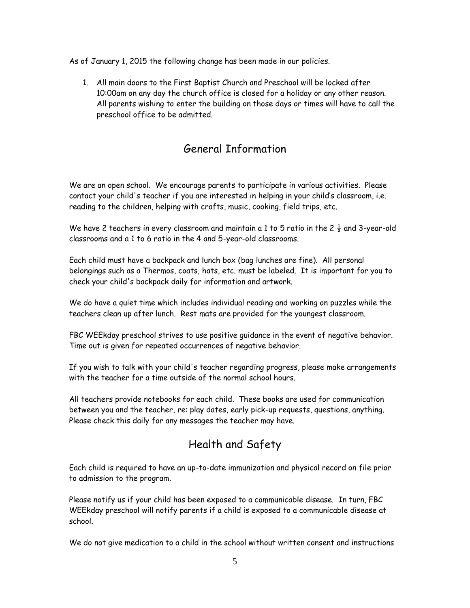As of January 1, 2015 the following change has been made in our policies.

1. All main doors to the First Baptist Church and Preschool will be locked after 10:00am on any day the church office is closed for a holiday or any other reason. All parents wishing to enter the building on those days or times will have to call the preschool office to be admitted.

## General Information

We are an open school. We encourage parents to participate in various activities. Please contact your child's teacher if you are interested in helping in your child's classroom, i.e. reading to the children, helping with crafts, music, cooking, field trips, etc.

We have 2 teachers in every classroom and maintain a 1 to 5 ratio in the 2  $\frac{1}{2}$  and 3-year-old classrooms and a 1 to 6 ratio in the 4 and 5-year-old classrooms.

Each child must have a backpack and lunch box (bag lunches are fine). All personal belongings such as a Thermos, coats, hats, etc. must be labeled. It is important for you to check your child's backpack daily for information and artwork.

We do have a quiet time which includes individual reading and working on puzzles while the teachers clean up after lunch. Rest mats are provided for the youngest classroom.

FBC WEEkday preschool strives to use positive guidance in the event of negative behavior. Time out is given for repeated occurrences of negative behavior.

If you wish to talk with your child's teacher regarding progress, please make arrangements with the teacher for a time outside of the normal school hours.

All teachers provide notebooks for each child. These books are used for communication between you and the teacher, re: play dates, early pick-up requests, questions, anything. Please check this daily for any messages the teacher may have.

# Health and Safety

Each child is required to have an up-to-date immunization and physical record on file prior to admission to the program.

Please notify us if your child has been exposed to a communicable disease. In turn, FBC WEEkday preschool will notify parents if a child is exposed to a communicable disease at school.

We do not give medication to a child in the school without written consent and instructions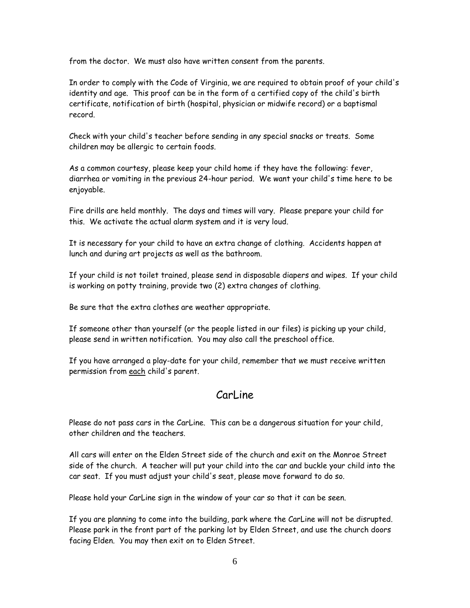from the doctor. We must also have written consent from the parents.

In order to comply with the Code of Virginia, we are required to obtain proof of your child's identity and age. This proof can be in the form of a certified copy of the child's birth certificate, notification of birth (hospital, physician or midwife record) or a baptismal record.

Check with your child's teacher before sending in any special snacks or treats. Some children may be allergic to certain foods.

As a common courtesy, please keep your child home if they have the following: fever, diarrhea or vomiting in the previous 24-hour period. We want your child's time here to be enjoyable.

Fire drills are held monthly. The days and times will vary. Please prepare your child for this. We activate the actual alarm system and it is very loud.

It is necessary for your child to have an extra change of clothing. Accidents happen at lunch and during art projects as well as the bathroom.

If your child is not toilet trained, please send in disposable diapers and wipes. If your child is working on potty training, provide two (2) extra changes of clothing.

Be sure that the extra clothes are weather appropriate.

If someone other than yourself (or the people listed in our files) is picking up your child, please send in written notification. You may also call the preschool office.

If you have arranged a play-date for your child, remember that we must receive written permission from each child's parent.

#### Carl ine

Please do not pass cars in the CarLine. This can be a dangerous situation for your child, other children and the teachers.

All cars will enter on the Elden Street side of the church and exit on the Monroe Street side of the church. A teacher will put your child into the car and buckle your child into the car seat. If you must adjust your child's seat, please move forward to do so.

Please hold your CarLine sign in the window of your car so that it can be seen.

If you are planning to come into the building, park where the CarLine will not be disrupted. Please park in the front part of the parking lot by Elden Street, and use the church doors facing Elden. You may then exit on to Elden Street.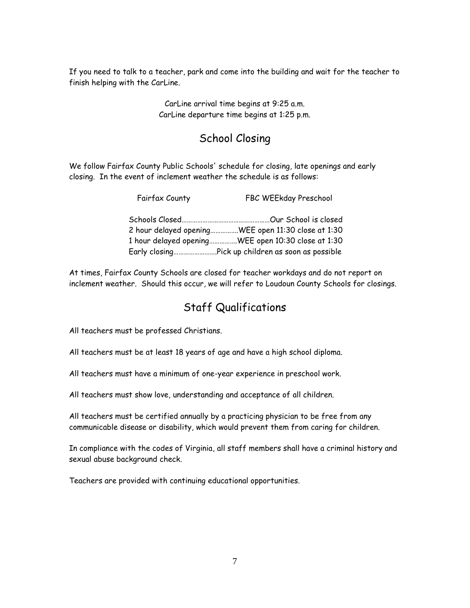If you need to talk to a teacher, park and come into the building and wait for the teacher to finish helping with the CarLine.

> CarLine arrival time begins at 9:25 a.m. CarLine departure time begins at 1:25 p.m.

# School Closing

We follow Fairfax County Public Schools' schedule for closing, late openings and early closing. In the event of inclement weather the schedule is as follows:

| Fairfax County | FBC WEEkday Preschool                              |
|----------------|----------------------------------------------------|
|                |                                                    |
|                | 2 hour delayed openingWEE open 11:30 close at 1:30 |
|                | 1 hour delayed openingWEE open 10:30 close at 1:30 |
|                |                                                    |

At times, Fairfax County Schools are closed for teacher workdays and do not report on inclement weather. Should this occur, we will refer to Loudoun County Schools for closings.

## Staff Qualifications

All teachers must be professed Christians.

All teachers must be at least 18 years of age and have a high school diploma.

All teachers must have a minimum of one-year experience in preschool work.

All teachers must show love, understanding and acceptance of all children.

All teachers must be certified annually by a practicing physician to be free from any communicable disease or disability, which would prevent them from caring for children.

In compliance with the codes of Virginia, all staff members shall have a criminal history and sexual abuse background check.

Teachers are provided with continuing educational opportunities.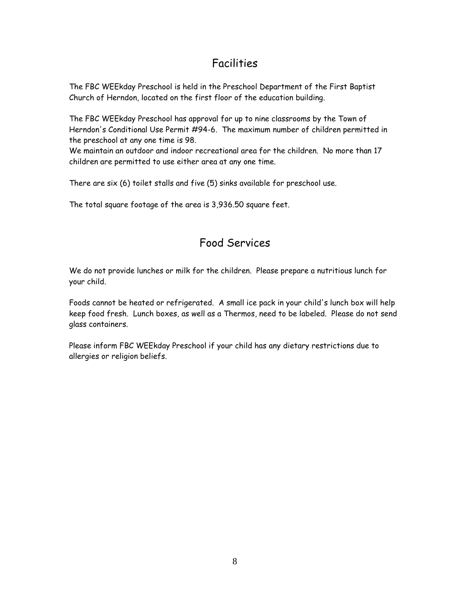# Facilities

The FBC WEEkday Preschool is held in the Preschool Department of the First Baptist Church of Herndon, located on the first floor of the education building.

The FBC WEEkday Preschool has approval for up to nine classrooms by the Town of Herndon's Conditional Use Permit #94-6. The maximum number of children permitted in the preschool at any one time is 98.

We maintain an outdoor and indoor recreational area for the children. No more than 17 children are permitted to use either area at any one time.

There are six (6) toilet stalls and five (5) sinks available for preschool use.

The total square footage of the area is 3,936.50 square feet.

## Food Services

We do not provide lunches or milk for the children. Please prepare a nutritious lunch for your child.

Foods cannot be heated or refrigerated. A small ice pack in your child's lunch box will help keep food fresh. Lunch boxes, as well as a Thermos, need to be labeled. Please do not send glass containers.

Please inform FBC WEEkday Preschool if your child has any dietary restrictions due to allergies or religion beliefs.